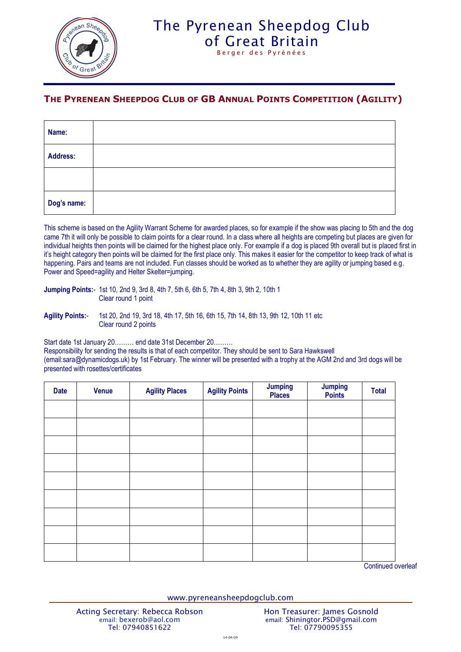

## The Pyrenean Sheepdog Club [of Great Britain](http://www.pyreneansheepdog.co.uk/index.htm) Berger des Pyrénées

## **THE PYRENEAN SHEEPDOG CLUB OF GB ANNUAL POINTS COMPETITION (AGILITY)**

| Name:       |  |
|-------------|--|
| Address:    |  |
|             |  |
| Dog's name: |  |

This scheme is based on the Agility Warrant Scheme for awarded places, so for example if the show was placing to 5th and the dog came 7th it will only be possible to claim points for a clear round. In a class where all heights are competing but places are given for individual heights then points will be claimed for the highest place only. For example if a dog is placed 9th overall but is placed first in it's height category then points will be claimed for the first place only. This makes it easier for the competitor to keep track of what is happening. Pairs and teams are not included. Fun classes should be worked as to whether they are agility or jumping based e.g. Power and Speed=agility and Helter Skelter=jumping.

**Jumping Points:**- 1st 10, 2nd 9, 3rd 8, 4th 7, 5th 6, 6th 5, 7th 4, 8th 3, 9th 2, 10th 1 Clear round 1 point

**Agility Points:**- 1st 20, 2nd 19, 3rd 18, 4th 17, 5th 16, 6th 15, 7th 14, 8th 13, 9th 12, 10th 11 etc Clear round 2 points

Start date 1st January 20……… end date 31st December 20……… Responsibility for sending the results is that of each competitor. They should be sent to Sara Hawkswell (email:sara@dynamicdogs.uk) by 1st February. The winner will be presented with a trophy at the AGM 2nd and 3rd dogs will be presented with rosettes/certificates

| <b>Date</b> | <b>Venue</b> | <b>Agility Places</b> | <b>Agility Points</b> | <b>Jumping</b><br><b>Places</b> | <b>Jumping</b><br>Points | <b>Total</b> |
|-------------|--------------|-----------------------|-----------------------|---------------------------------|--------------------------|--------------|
|             |              |                       |                       |                                 |                          |              |
|             |              |                       |                       |                                 |                          |              |
|             |              |                       |                       |                                 |                          |              |
|             |              |                       |                       |                                 |                          |              |
|             |              |                       |                       |                                 |                          |              |
|             |              |                       |                       |                                 |                          |              |
|             |              |                       |                       |                                 |                          |              |
|             |              |                       |                       |                                 |                          |              |
|             |              |                       |                       |                                 |                          |              |

Continued overleaf

www.pyreneansheepdogclub.com